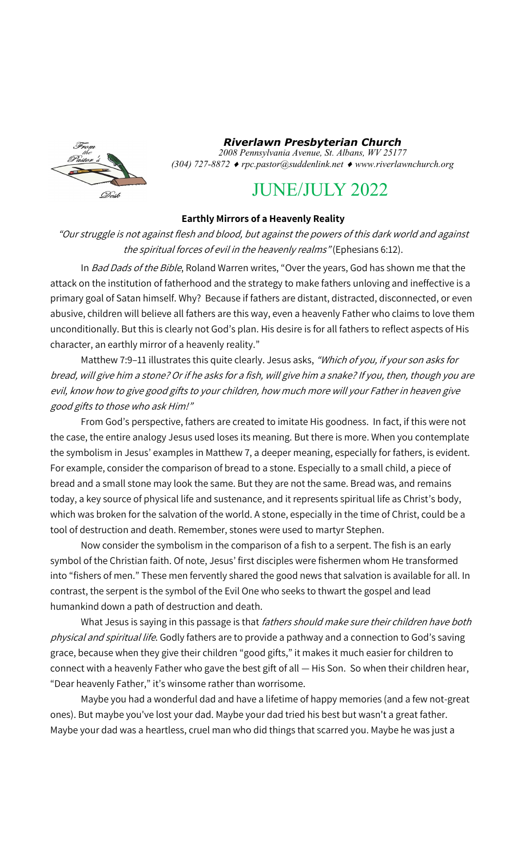

*Riverlawn Presbyterian Church 2008 Pennsylvania Avenue, St. Albans, WV 25177 (304) 727-8872 rpc.pastor@suddenlink.net www.riverlawnchurch.org* 

# JUNE/JULY 2022

## **Earthly Mirrors of a Heavenly Reality**

"Our struggle is not against flesh and blood, but against the powers of this dark world and against the spiritual forces of evil in the heavenly realms" (Ephesians 6:12).

In Bad Dads of the Bible, Roland Warren writes, "Over the years, God has shown me that the attack on the institution of fatherhood and the strategy to make fathers unloving and ineffective is a primary goal of Satan himself. Why? Because if fathers are distant, distracted, disconnected, or even abusive, children will believe all fathers are this way, even a heavenly Father who claims to love them unconditionally. But this is clearly not God's plan. His desire is for all fathers to reflect aspects of His character, an earthly mirror of a heavenly reality."

Matthew 7:9-11 illustrates this quite clearly. Jesus asks, "Which of you, if your son asks for bread, will give him a stone? Or if he asks for a fish, will give him a snake? If you, then, though you are evil, know how to give good gifts to your children, how much more will your Father in heaven give good gifts to those who ask Him!"

From God's perspective, fathers are created to imitate His goodness. In fact, if this were not the case, the entire analogy Jesus used loses its meaning. But there is more. When you contemplate the symbolism in Jesus' examples in Matthew 7, a deeper meaning, especially for fathers, is evident. For example, consider the comparison of bread to a stone. Especially to a small child, a piece of bread and a small stone may look the same. But they are not the same. Bread was, and remains today, a key source of physical life and sustenance, and it represents spiritual life as Christ's body, which was broken for the salvation of the world. A stone, especially in the time of Christ, could be a tool of destruction and death. Remember, stones were used to martyr Stephen.

Now consider the symbolism in the comparison of a fish to a serpent. The fish is an early symbol of the Christian faith. Of note, Jesus' first disciples were fishermen whom He transformed into "fishers of men." These men fervently shared the good news that salvation is available for all. In contrast, the serpent is the symbol of the Evil One who seeks to thwart the gospel and lead humankind down a path of destruction and death.

What Jesus is saying in this passage is that fathers should make sure their children have both physical and spiritual life. Godly fathers are to provide a pathway and a connection to God's saving grace, because when they give their children "good gifts," it makes it much easier for children to connect with a heavenly Father who gave the best gift of all — His Son. So when their children hear, "Dear heavenly Father," it's winsome rather than worrisome.

Maybe you had a wonderful dad and have a lifetime of happy memories (and a few not-great ones). But maybe you've lost your dad. Maybe your dad tried his best but wasn't a great father. Maybe your dad was a heartless, cruel man who did things that scarred you. Maybe he was just a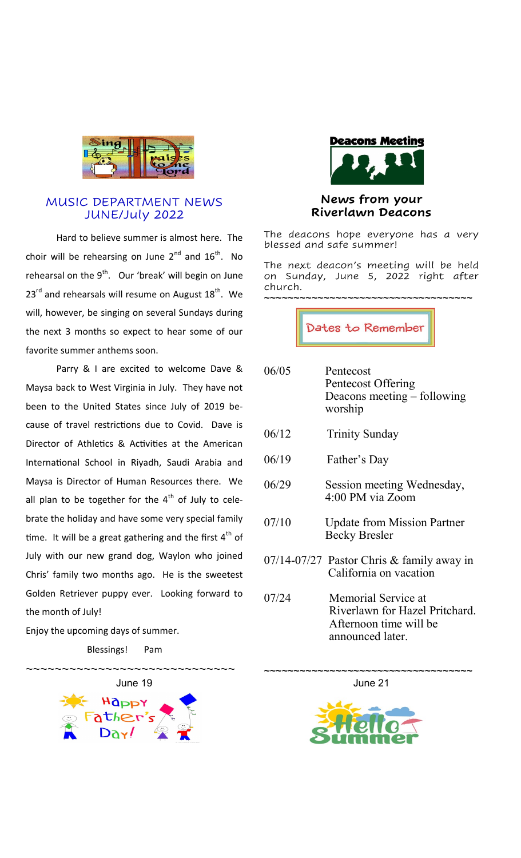

## MUSIC DEPARTMENT NEWS JUNE/July 2022

Hard to believe summer is almost here. The choir will be rehearsing on June  $2^{nd}$  and  $16^{th}$ . No rehearsal on the  $9<sup>th</sup>$ . Our 'break' will begin on June  $23^{\text{rd}}$  and rehearsals will resume on August  $18^{\text{th}}$ . We will, however, be singing on several Sundays during the next 3 months so expect to hear some of our favorite summer anthems soon.

Parry & I are excited to welcome Dave & Maysa back to West Virginia in July. They have not been to the United States since July of 2019 because of travel restrictions due to Covid. Dave is Director of Athletics & Activities at the American International School in Riyadh, Saudi Arabia and Maysa is Director of Human Resources there. We all plan to be together for the  $4<sup>th</sup>$  of July to celebrate the holiday and have some very special family time. It will be a great gathering and the first  $4<sup>th</sup>$  of July with our new grand dog, Waylon who joined Chris' family two months ago. He is the sweetest Golden Retriever puppy ever. Looking forward to the month of July!

Enjoy the upcoming days of summer.

Blessings! Pam





# **News from your Riverlawn Deacons**

The deacons hope everyone has a very blessed and safe summer!

The next deacon's meeting will be held on Sunday, June 5, 2022 right after church. ~~~~~~~~~~~~~~~~~~~~~~~~~~~~~~~~~~

Dates to Remember

| 06/05 | Pentecost<br>Pentecost Offering<br>Deacons meeting – following<br>worship                           |
|-------|-----------------------------------------------------------------------------------------------------|
| 06/12 | <b>Trinity Sunday</b>                                                                               |
| 06/19 | Father's Day                                                                                        |
| 06/29 | Session meeting Wednesday,<br>4:00 PM via Zoom                                                      |
| 07/10 | <b>Update from Mission Partner</b><br><b>Becky Bresler</b>                                          |
|       | $07/14-07/27$ Pastor Chris & family away in<br>California on vacation                               |
| 07/24 | Memorial Service at<br>Riverlawn for Hazel Pritchard.<br>Afternoon time will be<br>announced later. |

~~~~~~~~~~~~~~~~~~~~~~~~~~~~~~~~~~ June 21

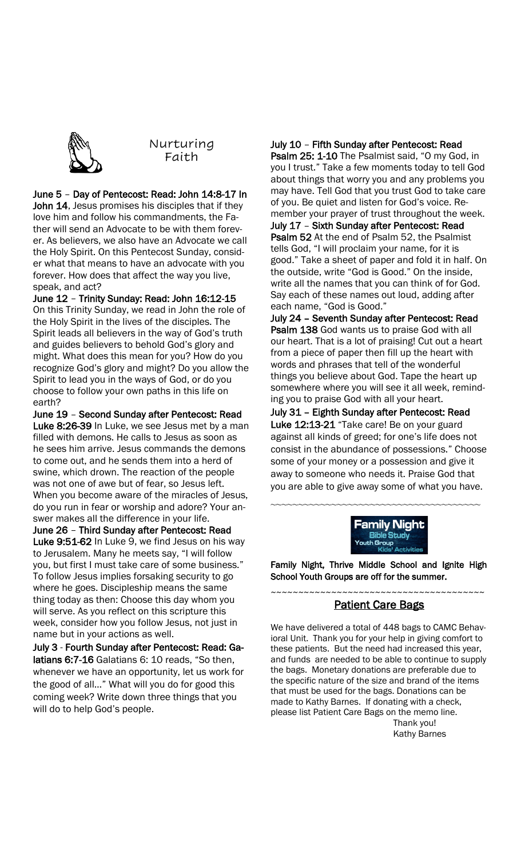

Nurturing Faith

June 5 – Day of Pentecost: Read: John 14:8-17 In

John 14, Jesus promises his disciples that if they love him and follow his commandments, the Father will send an Advocate to be with them forever. As believers, we also have an Advocate we call the Holy Spirit. On this Pentecost Sunday, consider what that means to have an advocate with you forever. How does that affect the way you live, speak, and act?

June 12 – Trinity Sunday: Read: John 16:12-15 On this Trinity Sunday, we read in John the role of the Holy Spirit in the lives of the disciples. The Spirit leads all believers in the way of God's truth and guides believers to behold God's glory and might. What does this mean for you? How do you recognize God's glory and might? Do you allow the Spirit to lead you in the ways of God, or do you choose to follow your own paths in this life on earth?

June 19 – Second Sunday after Pentecost: Read Luke 8:26-39 In Luke, we see Jesus met by a man filled with demons. He calls to Jesus as soon as he sees him arrive. Jesus commands the demons to come out, and he sends them into a herd of swine, which drown. The reaction of the people was not one of awe but of fear, so Jesus left. When you become aware of the miracles of Jesus, do you run in fear or worship and adore? Your answer makes all the difference in your life.

June 26 – Third Sunday after Pentecost: Read Luke 9:51-62 In Luke 9, we find Jesus on his way to Jerusalem. Many he meets say, "I will follow you, but first I must take care of some business." To follow Jesus implies forsaking security to go where he goes. Discipleship means the same thing today as then: Choose this day whom you will serve. As you reflect on this scripture this week, consider how you follow Jesus, not just in name but in your actions as well.

July 3 - Fourth Sunday after Pentecost: Read: Galatians 6:7-16 Galatians 6: 10 reads, "So then, whenever we have an opportunity, let us work for the good of all…" What will you do for good this coming week? Write down three things that you will do to help God's people.

## July 10 – Fifth Sunday after Pentecost: Read

Psalm 25: 1-10 The Psalmist said, "O my God, in you I trust." Take a few moments today to tell God about things that worry you and any problems you may have. Tell God that you trust God to take care of you. Be quiet and listen for God's voice. Remember your prayer of trust throughout the week. July 17 – Sixth Sunday after Pentecost: Read Psalm 52 At the end of Psalm 52, the Psalmist tells God, "I will proclaim your name, for it is good." Take a sheet of paper and fold it in half. On the outside, write "God is Good." On the inside, write all the names that you can think of for God. Say each of these names out loud, adding after each name, "God is Good."

July 24 – Seventh Sunday after Pentecost: Read Psalm 138 God wants us to praise God with all our heart. That is a lot of praising! Cut out a heart from a piece of paper then fill up the heart with words and phrases that tell of the wonderful things you believe about God. Tape the heart up somewhere where you will see it all week, reminding you to praise God with all your heart.

July 31 – Eighth Sunday after Pentecost: Read Luke 12:13-21 "Take care! Be on your guard against all kinds of greed; for one's life does not consist in the abundance of possessions." Choose some of your money or a possession and give it away to someone who needs it. Praise God that you are able to give away some of what you have.

~~~~~~~~~~~~~~~~~~~~~~~~~~~~~~~~~~~~~

'amilv Night

Family Night, Thrive Middle School and Ignite High School Youth Groups are off for the summer.

#### ~~~~~~~~~~~~~~~~~~~~~~~~~~~~~~~~~~~~~~~ **Patient Care Bags**

We have delivered a total of 448 bags to CAMC Behavioral Unit. Thank you for your help in giving comfort to these patients. But the need had increased this year, and funds are needed to be able to continue to supply the bags. Monetary donations are preferable due to the specific nature of the size and brand of the items that must be used for the bags. Donations can be made to Kathy Barnes. If donating with a check, please list Patient Care Bags on the memo line. Thank you!

Kathy Barnes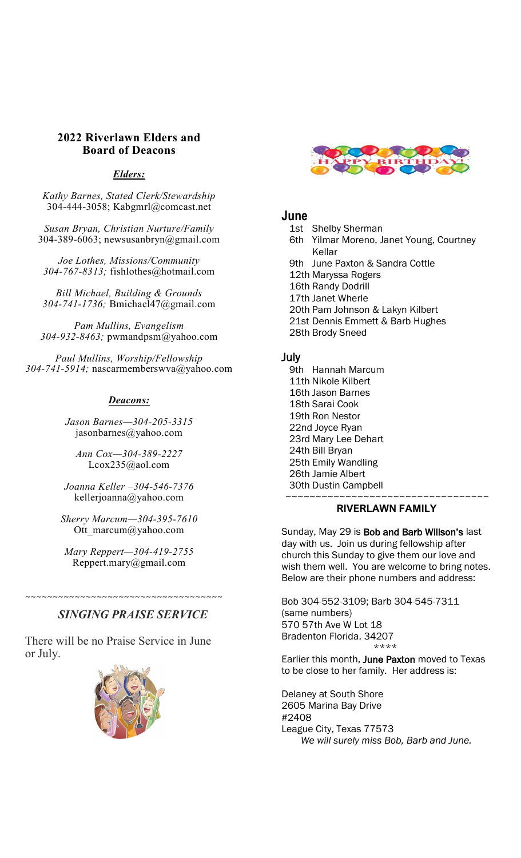## **2022 Riverlawn Elders and Board of Deacons**

## *Elders:*

*Kathy Barnes, Stated Clerk/Stewardship* 304-444-3058; Kabgmrl@comcast.net

*Susan Bryan, Christian Nurture/Family* 304-389-6063; newsusanbryn@gmail.com

*Joe Lothes, Missions/Community 304-767-8313;* fishlothes@hotmail.com

*Bill Michael, Building & Grounds 304-741-1736;* Bmichael47@gmail.com

*Pam Mullins, Evangelism 304-932-8463;* pwmandpsm@yahoo.com

*Paul Mullins, Worship/Fellowship 304-741-5914;* nascarmemberswva@yahoo.com

## *Deacons:*

*Jason Barnes—304-205-3315* jasonbarnes@yahoo.com

*Ann Cox—304-389-2227* Lcox235@aol.com

*Joanna Keller –304-546-7376* kellerjoanna@yahoo.com

*Sherry Marcum—304-395-7610* Ott marcum@yahoo.com

*Mary Reppert—304-419-2755* Reppert.mary@gmail.com

# *SINGING PRAISE SERVICE*

~~~~~~~~~~~~~~~~~~~~~~~~~~~~~~~~~~~~

There will be no Praise Service in June or July.





# **June**

- 1st Shelby Sherman
- 6th Yilmar Moreno, Janet Young, Courtney Kellar
- 9th June Paxton & Sandra Cottle
- 12th Maryssa Rogers
- 16th Randy Dodrill
- 17th Janet Wherle
- 20th Pam Johnson & Lakyn Kilbert
- 21st Dennis Emmett & Barb Hughes
- 28th Brody Sneed

## July

9th Hannah Marcum 11th Nikole Kilbert 16th Jason Barnes 18th Sarai Cook 19th Ron Nestor 22nd Joyce Ryan 23rd Mary Lee Dehart 24th Bill Bryan 25th Emily Wandling 26th Jamie Albert 30th Dustin Campbell ~~~~~~~~~~~~~~~~~~~~~~~~~~~~~~~~~~

## **RIVERLAWN FAMILY**

Sunday, May 29 is Bob and Barb Willson's last day with us. Join us during fellowship after church this Sunday to give them our love and wish them well. You are welcome to bring notes. Below are their phone numbers and address:

Bob 304-552-3109; Barb 304-545-7311 (same numbers) 570 57th Ave W Lot 18 Bradenton Florida. 34207 \*\*\*\*

Earlier this month, June Paxton moved to Texas to be close to her family. Her address is:

Delaney at South Shore 2605 Marina Bay Drive #2408 League City, Texas 77573 *We will surely miss Bob, Barb and June.*